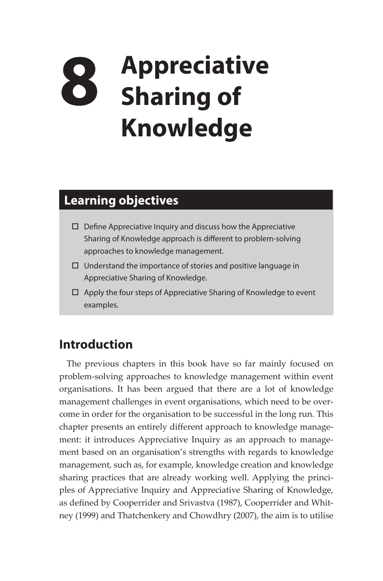## **8 Appreciative Sharing of Knowledge**

## **Learning objectives**

- $\square$  Define Appreciative Inquiry and discuss how the Appreciative Sharing of Knowledge approach is different to problem-solving approaches to knowledge management.
- $\Box$  Understand the importance of stories and positive language in Appreciative Sharing of Knowledge.
- $\Box$  Apply the four steps of Appreciative Sharing of Knowledge to event examples.

## **Introduction**

The previous chapters in this book have so far mainly focused on problem-solving approaches to knowledge management within event organisations. It has been argued that there are a lot of knowledge management challenges in event organisations, which need to be overcome in order for the organisation to be successful in the long run. This chapter presents an entirely different approach to knowledge management: it introduces Appreciative Inquiry as an approach to management based on an organisation's strengths with regards to knowledge management, such as, for example, knowledge creation and knowledge sharing practices that are already working well. Applying the principles of Appreciative Inquiry and Appreciative Sharing of Knowledge, as defined by Cooperrider and Srivastva (1987), Cooperrider and Whitney (1999) and Thatchenkery and Chowdhry (2007), the aim is to utilise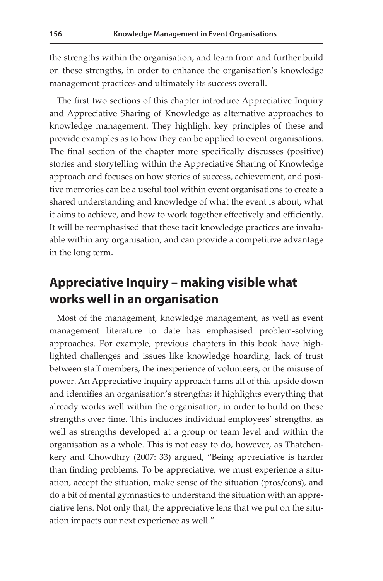the strengths within the organisation, and learn from and further build on these strengths, in order to enhance the organisation's knowledge management practices and ultimately its success overall.

The first two sections of this chapter introduce Appreciative Inquiry and Appreciative Sharing of Knowledge as alternative approaches to knowledge management. They highlight key principles of these and provide examples as to how they can be applied to event organisations. The final section of the chapter more specifically discusses (positive) stories and storytelling within the Appreciative Sharing of Knowledge approach and focuses on how stories of success, achievement, and positive memories can be a useful tool within event organisations to create a shared understanding and knowledge of what the event is about, what it aims to achieve, and how to work together effectively and efficiently. It will be reemphasised that these tacit knowledge practices are invaluable within any organisation, and can provide a competitive advantage in the long term.

## **Appreciative Inquiry – making visible what works well in an organisation**

Most of the management, knowledge management, as well as event management literature to date has emphasised problem-solving approaches. For example, previous chapters in this book have highlighted challenges and issues like knowledge hoarding, lack of trust between staff members, the inexperience of volunteers, or the misuse of power. An Appreciative Inquiry approach turns all of this upside down and identifies an organisation's strengths; it highlights everything that already works well within the organisation, in order to build on these strengths over time. This includes individual employees' strengths, as well as strengths developed at a group or team level and within the organisation as a whole. This is not easy to do, however, as Thatchenkery and Chowdhry (2007: 33) argued, "Being appreciative is harder than finding problems. To be appreciative, we must experience a situation, accept the situation, make sense of the situation (pros/cons), and do a bit of mental gymnastics to understand the situation with an appreciative lens. Not only that, the appreciative lens that we put on the situation impacts our next experience as well."